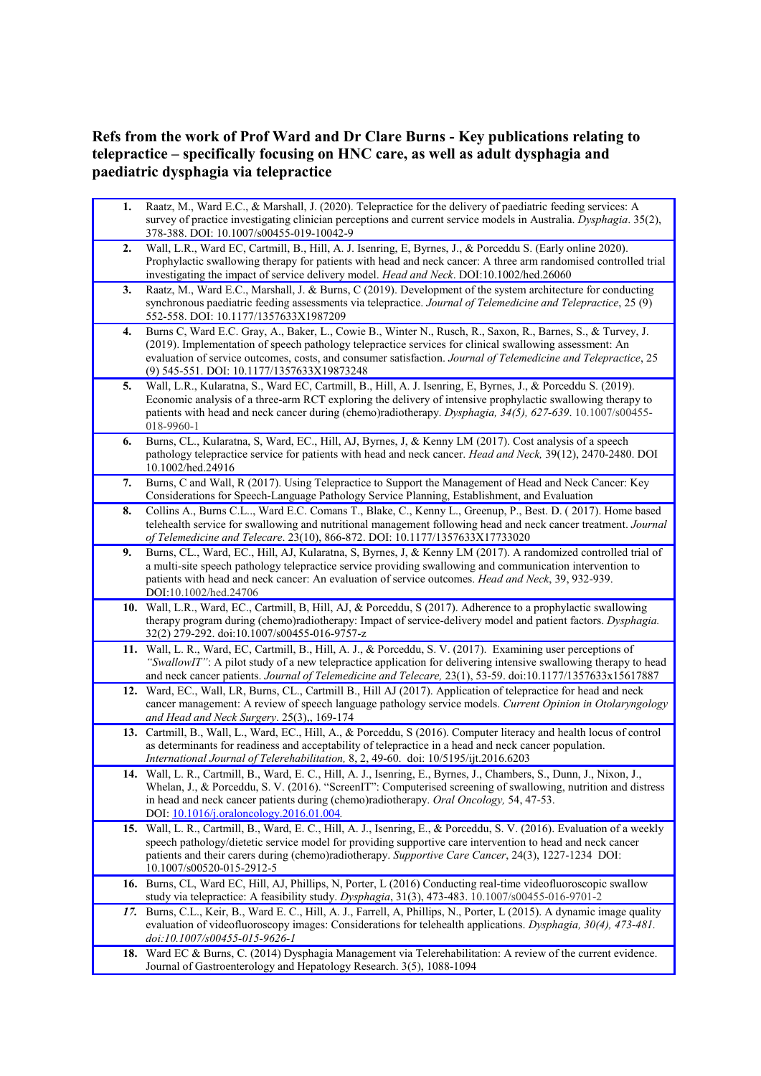## **Refs from the work of Prof Ward and Dr Clare Burns - Key publications relating to telepractice – specifically focusing on HNC care, as well as adult dysphagia and paediatric dysphagia via telepractice**

**1.** Raatz, M., Ward E.C., & Marshall, J. (2020). Telepractice for the delivery of paediatric feeding services: A survey of practice investigating clinician perceptions and current service models in Australia. *Dysphagia*. 35(2), 378-388. DOI: 10.1007/s00455-019-10042-9 **2.** Wall, L.R., Ward EC, Cartmill, B., Hill, A. J. Isenring, E, Byrnes, J., & Porceddu S. (Early online 2020). Prophylactic swallowing therapy for patients with head and neck cancer: A three arm randomised controlled trial investigating the impact of service delivery model. *Head and Neck*. DOI:10.1002/hed.26060 **3.** Raatz, M., Ward E.C., Marshall, J. & Burns, C (2019). Development of the system architecture for conducting synchronous paediatric feeding assessments via telepractice. *Journal of Telemedicine and Telepractice*, 25 (9) 552-558. DOI: 10.1177/1357633X1987209 **4.** Burns C, Ward E.C. Gray, A., Baker, L., Cowie B., Winter N., Rusch, R., Saxon, R., Barnes, S., & Turvey, J. (2019). Implementation of speech pathology telepractice services for clinical swallowing assessment: An evaluation of service outcomes, costs, and consumer satisfaction. *Journal of Telemedicine and Telepractice*, 25 (9) 545-551. DOI: 10.1177/1357633X19873248 **5.** Wall, L.R., Kularatna, S., Ward EC, Cartmill, B., Hill, A. J. Isenring, E, Byrnes, J., & Porceddu S. (2019). Economic analysis of a three-arm RCT exploring the delivery of intensive prophylactic swallowing therapy to patients with head and neck cancer during (chemo)radiotherapy. *Dysphagia, 34(5), 627-639*. 10.1007/s00455- 018-9960-1 **6.** Burns, CL., Kularatna, S, Ward, EC., Hill, AJ, Byrnes, J, & Kenny LM (2017). Cost analysis of a speech pathology telepractice service for patients with head and neck cancer. *Head and Neck,* 39(12), 2470-2480. DOI 10.1002/hed.24916 **7.** Burns, C and Wall, R (2017). Using Telepractice to Support the Management of Head and Neck Cancer: Key Considerations for Speech-Language Pathology Service Planning, Establishment, and Evaluation **8.** Collins A., Burns C.L.., Ward E.C. Comans T., Blake, C., Kenny L., Greenup, P., Best. D. ( 2017). Home based telehealth service for swallowing and nutritional management following head and neck cancer treatment. *Journal of Telemedicine and Telecare*. 23(10), 866-872. DOI: 10.1177/1357633X17733020 **9.** Burns, CL., Ward, EC., Hill, AJ, Kularatna, S, Byrnes, J, & Kenny LM (2017). A randomized controlled trial of a multi-site speech pathology telepractice service providing swallowing and communication intervention to patients with head and neck cancer: An evaluation of service outcomes. *Head and Neck*, 39, 932-939. DOI:10.1002/hed.24706 **10.** Wall, L.R., Ward, EC., Cartmill, B, Hill, AJ, & Porceddu, S (2017). Adherence to a prophylactic swallowing therapy program during (chemo)radiotherapy: Impact of service-delivery model and patient factors. *Dysphagia.* 32(2) 279-292. doi:10.1007/s00455-016-9757-z **11.** Wall, L. R., Ward, EC, Cartmill, B., Hill, A. J., & Porceddu, S. V. (2017). Examining user perceptions of *"SwallowIT"*: A pilot study of a new telepractice application for delivering intensive swallowing therapy to head and neck cancer patients. *Journal of Telemedicine and Telecare,* 23(1), 53-59. doi:10.1177/1357633x15617887 **12.** Ward, EC., Wall, LR, Burns, CL., Cartmill B., Hill AJ (2017). Application of telepractice for head and neck cancer management: A review of speech language pathology service models. *Current Opinion in Otolaryngology and Head and Neck Surgery*. 25(3),, 169-174 **13.** Cartmill, B., Wall, L., Ward, EC., Hill, A., & Porceddu, S (2016). Computer literacy and health locus of control as determinants for readiness and acceptability of telepractice in a head and neck cancer population. *International Journal of Telerehabilitation,* 8, 2, 49-60. doi: 10/5195/ijt.2016.6203 **14.** Wall, L. R., Cartmill, B., Ward, E. C., Hill, A. J., Isenring, E., Byrnes, J., Chambers, S., Dunn, J., Nixon, J., Whelan, J., & Porceddu, S. V. (2016). "ScreenIT": Computerised screening of swallowing, nutrition and distress in head and neck cancer patients during (chemo)radiotherapy. *Oral Oncology,* 54, 47-53. DOI: [10.1016/j.oraloncology.2016.01.004](http://dx.doi.org/10.1016/j.oraloncology.2016.01.004)*.* **15.** Wall, L. R., Cartmill, B., Ward, E. C., Hill, A. J., Isenring, E., & Porceddu, S. V. (2016). Evaluation of a weekly speech pathology/dietetic service model for providing supportive care intervention to head and neck cancer patients and their carers during (chemo)radiotherapy. *Supportive Care Cancer*, 24(3), 1227-1234 DOI: 10.1007/s00520-015-2912-5 **16.** Burns, CL, Ward EC, Hill, AJ, Phillips, N, Porter, L (2016) Conducting real-time videofluoroscopic swallow study via telepractice: A feasibility study. *Dysphagia*, 31(3), 473-483. 10.1007/s00455-016-9701-2 *17.* Burns, C.L., Keir, B., Ward E. C., Hill, A. J., Farrell, A, Phillips, N., Porter, L (2015). A dynamic image quality evaluation of videofluoroscopy images: Considerations for telehealth applications. *Dysphagia, 30(4), 473-481. doi:10.1007/s00455-015-9626-1* **18.** Ward EC & Burns, C. (2014) Dysphagia Management via Telerehabilitation: A review of the current evidence. Journal of Gastroenterology and Hepatology Research. 3(5), 1088-1094